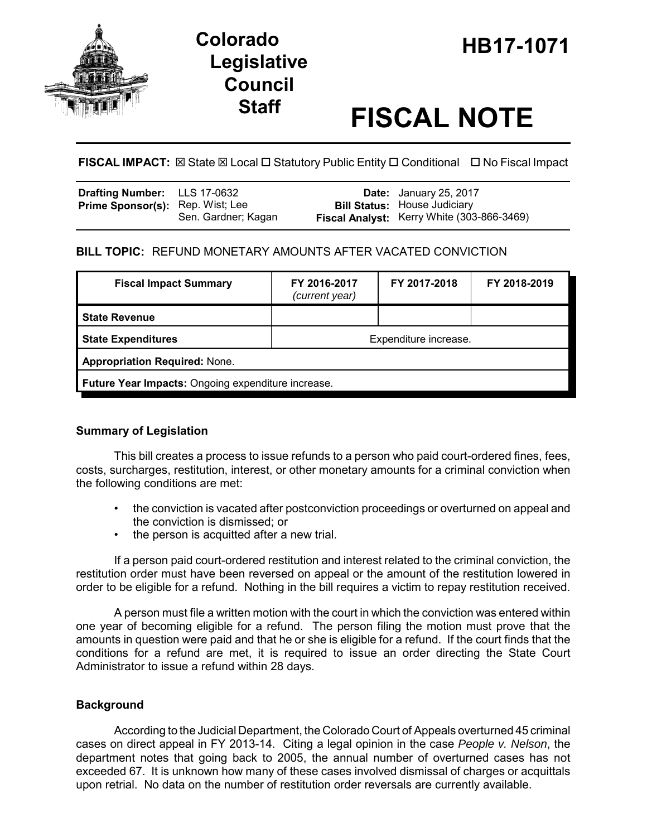

# **Legislative Council**

# **Staff FISCAL NOTE**

**FISCAL IMPACT:** ⊠ State ⊠ Local □ Statutory Public Entity □ Conditional □ No Fiscal Impact

| Drafting Number: LLS 17-0632            |                     | <b>Date:</b> January 25, 2017                                                     |
|-----------------------------------------|---------------------|-----------------------------------------------------------------------------------|
| <b>Prime Sponsor(s):</b> Rep. Wist; Lee | Sen. Gardner; Kagan | <b>Bill Status: House Judiciary</b><br>Fiscal Analyst: Kerry White (303-866-3469) |

# **BILL TOPIC:** REFUND MONETARY AMOUNTS AFTER VACATED CONVICTION

| <b>Fiscal Impact Summary</b>                       | FY 2016-2017<br>(current year) | FY 2017-2018 | FY 2018-2019 |  |  |
|----------------------------------------------------|--------------------------------|--------------|--------------|--|--|
| <b>State Revenue</b>                               |                                |              |              |  |  |
| <b>State Expenditures</b>                          | Expenditure increase.          |              |              |  |  |
| <b>Appropriation Required: None.</b>               |                                |              |              |  |  |
| Future Year Impacts: Ongoing expenditure increase. |                                |              |              |  |  |

## **Summary of Legislation**

This bill creates a process to issue refunds to a person who paid court-ordered fines, fees, costs, surcharges, restitution, interest, or other monetary amounts for a criminal conviction when the following conditions are met:

- the conviction is vacated after postconviction proceedings or overturned on appeal and the conviction is dismissed; or
- the person is acquitted after a new trial.

If a person paid court-ordered restitution and interest related to the criminal conviction, the restitution order must have been reversed on appeal or the amount of the restitution lowered in order to be eligible for a refund. Nothing in the bill requires a victim to repay restitution received.

A person must file a written motion with the court in which the conviction was entered within one year of becoming eligible for a refund. The person filing the motion must prove that the amounts in question were paid and that he or she is eligible for a refund. If the court finds that the conditions for a refund are met, it is required to issue an order directing the State Court Administrator to issue a refund within 28 days.

## **Background**

According to the Judicial Department, the Colorado Court of Appeals overturned 45 criminal cases on direct appeal in FY 2013-14. Citing a legal opinion in the case *People v. Nelson*, the department notes that going back to 2005, the annual number of overturned cases has not exceeded 67. It is unknown how many of these cases involved dismissal of charges or acquittals upon retrial. No data on the number of restitution order reversals are currently available.